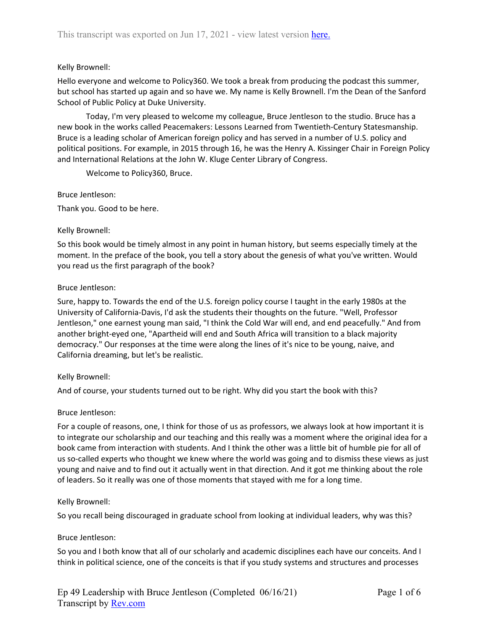# Kelly Brownell:

Hello everyone and welcome to Policy360. We took a break from producing the podcast this summer, but school has started up again and so have we. My name is Kelly Brownell. I'm the Dean of the Sanford School of Public Policy at Duke University.

Today, I'm very pleased to welcome my colleague, Bruce Jentleson to the studio. Bruce has a new book in the works called Peacemakers: Lessons Learned from Twentieth-Century Statesmanship. Bruce is a leading scholar of American foreign policy and has served in a number of U.S. policy and political positions. For example, in 2015 through 16, he was the Henry A. Kissinger Chair in Foreign Policy and International Relations at the John W. Kluge Center Library of Congress.

Welcome to Policy360, Bruce.

Bruce Jentleson:

Thank you. Good to be here.

## Kelly Brownell:

So this book would be timely almost in any point in human history, but seems especially timely at the moment. In the preface of the book, you tell a story about the genesis of what you've written. Would you read us the first paragraph of the book?

## Bruce Jentleson:

Sure, happy to. Towards the end of the U.S. foreign policy course I taught in the early 1980s at the University of California-Davis, I'd ask the students their thoughts on the future. "Well, Professor Jentleson," one earnest young man said, "I think the Cold War will end, and end peacefully." And from another bright-eyed one, "Apartheid will end and South Africa will transition to a black majority democracy." Our responses at the time were along the lines of it's nice to be young, naive, and California dreaming, but let's be realistic.

# Kelly Brownell:

And of course, your students turned out to be right. Why did you start the book with this?

### Bruce Jentleson:

For a couple of reasons, one, I think for those of us as professors, we always look at how important it is to integrate our scholarship and our teaching and this really was a moment where the original idea for a book came from interaction with students. And I think the other was a little bit of humble pie for all of us so-called experts who thought we knew where the world was going and to dismiss these views as just young and naive and to find out it actually went in that direction. And it got me thinking about the role of leaders. So it really was one of those moments that stayed with me for a long time.

### Kelly Brownell:

So you recall being discouraged in graduate school from looking at individual leaders, why was this?

### Bruce Jentleson:

So you and I both know that all of our scholarly and academic disciplines each have our conceits. And I think in political science, one of the conceits is that if you study systems and structures and processes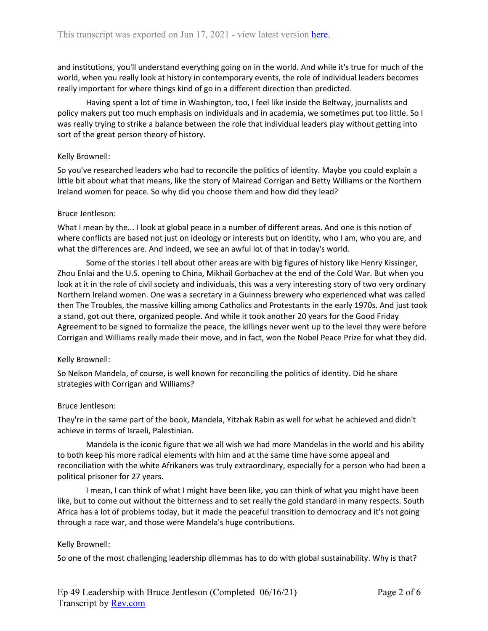and institutions, you'll understand everything going on in the world. And while it's true for much of the world, when you really look at history in contemporary events, the role of individual leaders becomes really important for where things kind of go in a different direction than predicted.

Having spent a lot of time in Washington, too, I feel like inside the Beltway, journalists and policy makers put too much emphasis on individuals and in academia, we sometimes put too little. So I was really trying to strike a balance between the role that individual leaders play without getting into sort of the great person theory of history.

### Kelly Brownell:

So you've researched leaders who had to reconcile the politics of identity. Maybe you could explain a little bit about what that means, like the story of Mairead Corrigan and Betty Williams or the Northern Ireland women for peace. So why did you choose them and how did they lead?

#### Bruce Jentleson:

What I mean by the... I look at global peace in a number of different areas. And one is this notion of where conflicts are based not just on ideology or interests but on identity, who I am, who you are, and what the differences are. And indeed, we see an awful lot of that in today's world.

Some of the stories I tell about other areas are with big figures of history like Henry Kissinger, Zhou Enlai and the U.S. opening to China, Mikhail Gorbachev at the end of the Cold War. But when you look at it in the role of civil society and individuals, this was a very interesting story of two very ordinary Northern Ireland women. One was a secretary in a Guinness brewery who experienced what was called then The Troubles, the massive killing among Catholics and Protestants in the early 1970s. And just took a stand, got out there, organized people. And while it took another 20 years for the Good Friday Agreement to be signed to formalize the peace, the killings never went up to the level they were before Corrigan and Williams really made their move, and in fact, won the Nobel Peace Prize for what they did.

### Kelly Brownell:

So Nelson Mandela, of course, is well known for reconciling the politics of identity. Did he share strategies with Corrigan and Williams?

#### Bruce Jentleson:

They're in the same part of the book, Mandela, Yitzhak Rabin as well for what he achieved and didn't achieve in terms of Israeli, Palestinian.

Mandela is the iconic figure that we all wish we had more Mandelas in the world and his ability to both keep his more radical elements with him and at the same time have some appeal and reconciliation with the white Afrikaners was truly extraordinary, especially for a person who had been a political prisoner for 27 years.

I mean, I can think of what I might have been like, you can think of what you might have been like, but to come out without the bitterness and to set really the gold standard in many respects. South Africa has a lot of problems today, but it made the peaceful transition to democracy and it's not going through a race war, and those were Mandela's huge contributions.

#### Kelly Brownell:

So one of the most challenging leadership dilemmas has to do with global sustainability. Why is that?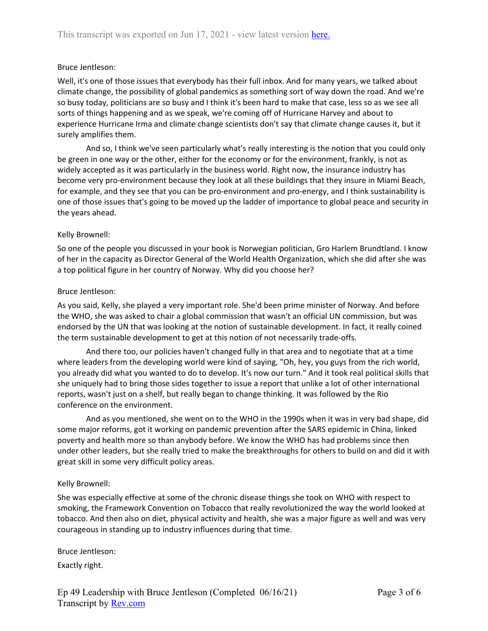### Bruce Jentleson:

Well, it's one of those issues that everybody has their full inbox. And for many years, we talked about climate change, the possibility of global pandemics as something sort of way down the road. And we're so busy today, politicians are so busy and I think it's been hard to make that case, less so as we see all sorts of things happening and as we speak, we're coming off of Hurricane Harvey and about to experience Hurricane Irma and climate change scientists don't say that climate change causes it, but it surely amplifies them.

And so, I think we've seen particularly what's really interesting is the notion that you could only be green in one way or the other, either for the economy or for the environment, frankly, is not as widely accepted as it was particularly in the business world. Right now, the insurance industry has become very pro-environment because they look at all these buildings that they insure in Miami Beach, for example, and they see that you can be pro-environment and pro-energy, and I think sustainability is one of those issues that's going to be moved up the ladder of importance to global peace and security in the years ahead.

#### Kelly Brownell:

So one of the people you discussed in your book is Norwegian politician, Gro Harlem Brundtland. I know of her in the capacity as Director General of the World Health Organization, which she did after she was a top political figure in her country of Norway. Why did you choose her?

#### Bruce Jentleson:

As you said, Kelly, she played a very important role. She'd been prime minister of Norway. And before the WHO, she was asked to chair a global commission that wasn't an official UN commission, but was endorsed by the UN that was looking at the notion of sustainable development. In fact, it really coined the term sustainable development to get at this notion of not necessarily trade-offs.

And there too, our policies haven't changed fully in that area and to negotiate that at a time where leaders from the developing world were kind of saying, "Oh, hey, you guys from the rich world, you already did what you wanted to do to develop. It's now our turn." And it took real political skills that she uniquely had to bring those sides together to issue a report that unlike a lot of other international reports, wasn't just on a shelf, but really began to change thinking. It was followed by the Rio conference on the environment.

And as you mentioned, she went on to the WHO in the 1990s when it was in very bad shape, did some major reforms, got it working on pandemic prevention after the SARS epidemic in China, linked poverty and health more so than anybody before. We know the WHO has had problems since then under other leaders, but she really tried to make the breakthroughs for others to build on and did it with great skill in some very difficult policy areas.

#### Kelly Brownell:

She was especially effective at some of the chronic disease things she took on WHO with respect to smoking, the Framework Convention on Tobacco that really revolutionized the way the world looked at tobacco. And then also on diet, physical activity and health, she was a major figure as well and was very courageous in standing up to industry influences during that time.

#### Bruce Jentleson:

Exactly right.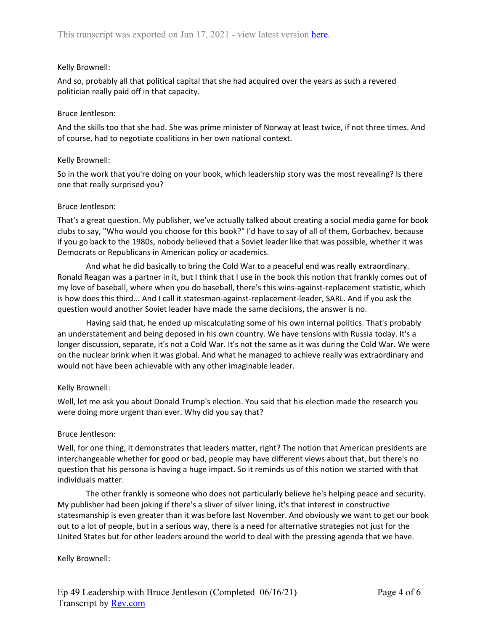# Kelly Brownell:

And so, probably all that political capital that she had acquired over the years as such a revered politician really paid off in that capacity.

## Bruce Jentleson:

And the skills too that she had. She was prime minister of Norway at least twice, if not three times. And of course, had to negotiate coalitions in her own national context.

## Kelly Brownell:

So in the work that you're doing on your book, which leadership story was the most revealing? Is there one that really surprised you?

## Bruce Jentleson:

That's a great question. My publisher, we've actually talked about creating a social media game for book clubs to say, "Who would you choose for this book?" I'd have to say of all of them, Gorbachev, because if you go back to the 1980s, nobody believed that a Soviet leader like that was possible, whether it was Democrats or Republicans in American policy or academics.

And what he did basically to bring the Cold War to a peaceful end was really extraordinary. Ronald Reagan was a partner in it, but I think that I use in the book this notion that frankly comes out of my love of baseball, where when you do baseball, there's this wins-against-replacement statistic, which is how does this third... And I call it statesman-against-replacement-leader, SARL. And if you ask the question would another Soviet leader have made the same decisions, the answer is no.

Having said that, he ended up miscalculating some of his own internal politics. That's probably an understatement and being deposed in his own country. We have tensions with Russia today. It's a longer discussion, separate, it's not a Cold War. It's not the same as it was during the Cold War. We were on the nuclear brink when it was global. And what he managed to achieve really was extraordinary and would not have been achievable with any other imaginable leader.

# Kelly Brownell:

Well, let me ask you about Donald Trump's election. You said that his election made the research you were doing more urgent than ever. Why did you say that?

### Bruce Jentleson:

Well, for one thing, it demonstrates that leaders matter, right? The notion that American presidents are interchangeable whether for good or bad, people may have different views about that, but there's no question that his persona is having a huge impact. So it reminds us of this notion we started with that individuals matter.

The other frankly is someone who does not particularly believe he's helping peace and security. My publisher had been joking if there's a sliver of silver lining, it's that interest in constructive statesmanship is even greater than it was before last November. And obviously we want to get our book out to a lot of people, but in a serious way, there is a need for alternative strategies not just for the United States but for other leaders around the world to deal with the pressing agenda that we have.

### Kelly Brownell: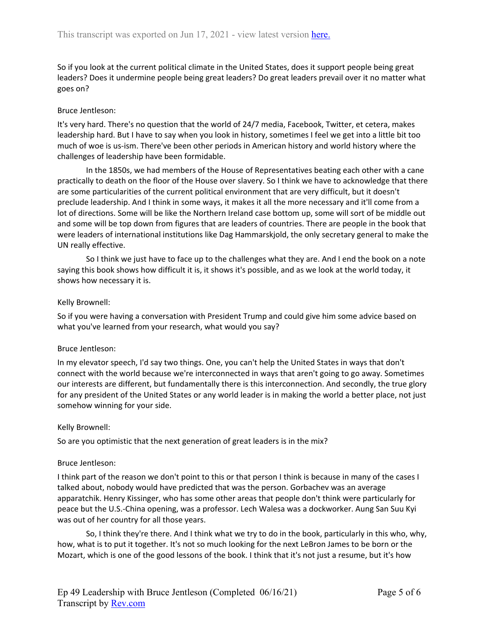So if you look at the current political climate in the United States, does it support people being great leaders? Does it undermine people being great leaders? Do great leaders prevail over it no matter what goes on?

# Bruce Jentleson:

It's very hard. There's no question that the world of 24/7 media, Facebook, Twitter, et cetera, makes leadership hard. But I have to say when you look in history, sometimes I feel we get into a little bit too much of woe is us-ism. There've been other periods in American history and world history where the challenges of leadership have been formidable.

In the 1850s, we had members of the House of Representatives beating each other with a cane practically to death on the floor of the House over slavery. So I think we have to acknowledge that there are some particularities of the current political environment that are very difficult, but it doesn't preclude leadership. And I think in some ways, it makes it all the more necessary and it'll come from a lot of directions. Some will be like the Northern Ireland case bottom up, some will sort of be middle out and some will be top down from figures that are leaders of countries. There are people in the book that were leaders of international institutions like Dag Hammarskjold, the only secretary general to make the UN really effective.

So I think we just have to face up to the challenges what they are. And I end the book on a note saying this book shows how difficult it is, it shows it's possible, and as we look at the world today, it shows how necessary it is.

# Kelly Brownell:

So if you were having a conversation with President Trump and could give him some advice based on what you've learned from your research, what would you say?

# Bruce Jentleson:

In my elevator speech, I'd say two things. One, you can't help the United States in ways that don't connect with the world because we're interconnected in ways that aren't going to go away. Sometimes our interests are different, but fundamentally there is this interconnection. And secondly, the true glory for any president of the United States or any world leader is in making the world a better place, not just somehow winning for your side.

# Kelly Brownell:

So are you optimistic that the next generation of great leaders is in the mix?

# Bruce Jentleson:

I think part of the reason we don't point to this or that person I think is because in many of the cases I talked about, nobody would have predicted that was the person. Gorbachev was an average apparatchik. Henry Kissinger, who has some other areas that people don't think were particularly for peace but the U.S.-China opening, was a professor. Lech Walesa was a dockworker. Aung San Suu Kyi was out of her country for all those years.

So, I think they're there. And I think what we try to do in the book, particularly in this who, why, how, what is to put it together. It's not so much looking for the next LeBron James to be born or the Mozart, which is one of the good lessons of the book. I think that it's not just a resume, but it's how